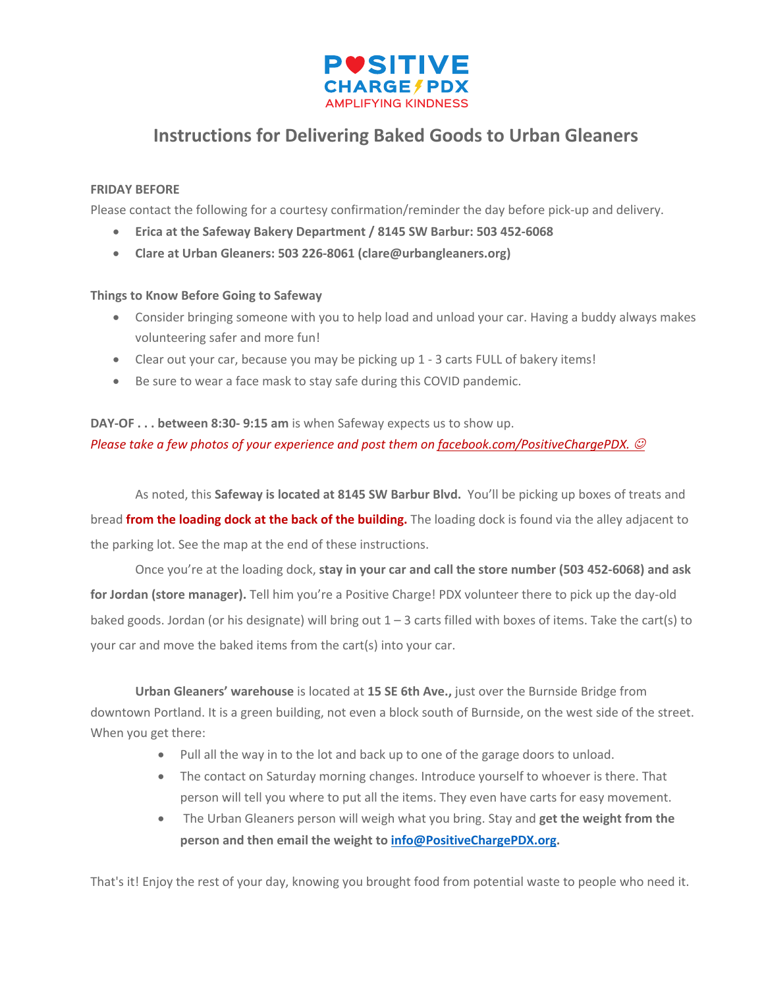

## **Instructions for Delivering Baked Goods to Urban Gleaners**

## **FRIDAY BEFORE**

Please contact the following for a courtesy confirmation/reminder the day before pick-up and delivery.

- **Erica at the Safeway Bakery Department / 8145 SW Barbur: 503 452-6068**
- **Clare at Urban Gleaners: 503 226-8061 (clare@urbangleaners.org)**

## **Things to Know Before Going to Safeway**

- Consider bringing someone with you to help load and unload your car. Having a buddy always makes volunteering safer and more fun!
- Clear out your car, because you may be picking up 1 3 carts FULL of bakery items!
- Be sure to wear a face mask to stay safe during this COVID pandemic.

## **DAY-OF . . . between 8:30- 9:15 am** is when Safeway expects us to show up. *Please take a few photos of your experience and post them on <u>facebook.com/PositiveChargePDX.</u> ©*

As noted, this **Safeway is located at 8145 SW Barbur Blvd.** You'll be picking up boxes of treats and bread **from the loading dock at the back of the building.** The loading dock is found via the alley adjacent to the parking lot. See the map at the end of these instructions.

Once you're at the loading dock, **stay in your car and call the store number (503 452-6068) and ask for Jordan (store manager).** Tell him you're a Positive Charge! PDX volunteer there to pick up the day-old baked goods. Jordan (or his designate) will bring out 1 – 3 carts filled with boxes of items. Take the cart(s) to your car and move the baked items from the cart(s) into your car.

**Urban Gleaners' warehouse** is located at **15 SE 6th Ave.,** just over the Burnside Bridge from downtown Portland. It is a green building, not even a block south of Burnside, on the west side of the street. When you get there:

- Pull all the way in to the lot and back up to one of the garage doors to unload.
- The contact on Saturday morning changes. Introduce yourself to whoever is there. That person will tell you where to put all the items. They even have carts for easy movement.
- The Urban Gleaners person will weigh what you bring. Stay and **get the weight from the person and then email the weight to info@PositiveChargePDX.org.**

That's it! Enjoy the rest of your day, knowing you brought food from potential waste to people who need it.